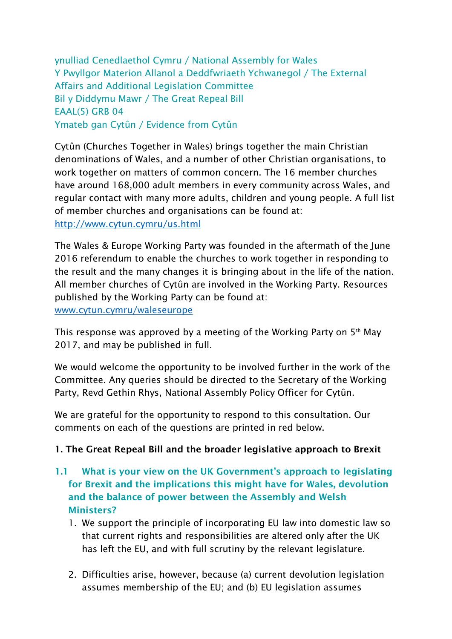ynulliad Cenedlaethol Cymru / National Assembly for Wales Y Pwyllgor Materion Allanol a Deddfwriaeth Ychwanegol / The External Affairs and Additional Legislation Committee Bil y Diddymu Mawr / The Great Repeal Bill EAAL(5) GRB 04 Ymateb gan Cytûn / Evidence from Cytûn

Cytûn (Churches Together in Wales) brings together the main Christian denominations of Wales, and a number of other Christian organisations, to work together on matters of common concern. The 16 member churches have around 168,000 adult members in every community across Wales, and regular contact with many more adults, children and young people. A full list of member churches and organisations can be found at: <http://www.cytun.cymru/us.html>

The Wales & Europe Working Party was founded in the aftermath of the June 2016 referendum to enable the churches to work together in responding to the result and the many changes it is bringing about in the life of the nation. All member churches of Cytûn are involved in the Working Party. Resources published by the Working Party can be found at: [www.cytun.cymru/waleseurope](http://www.cytun.cymru/waleseurope)

This response was approved by a meeting of the Working Party on  $5<sup>th</sup>$  May 2017, and may be published in full.

We would welcome the opportunity to be involved further in the work of the Committee. Any queries should be directed to the Secretary of the Working Party, Revd Gethin Rhys, National Assembly Policy Officer for Cytûn.

We are grateful for the opportunity to respond to this consultation. Our comments on each of the questions are printed in red below.

### **1. The Great Repeal Bill and the broader legislative approach to Brexit**

- **1.1 What is your view on the UK Government's approach to legislating for Brexit and the implications this might have for Wales, devolution and the balance of power between the Assembly and Welsh Ministers?**
	- 1. We support the principle of incorporating EU law into domestic law so that current rights and responsibilities are altered only after the UK has left the EU, and with full scrutiny by the relevant legislature.
	- 2. Difficulties arise, however, because (a) current devolution legislation assumes membership of the EU; and (b) EU legislation assumes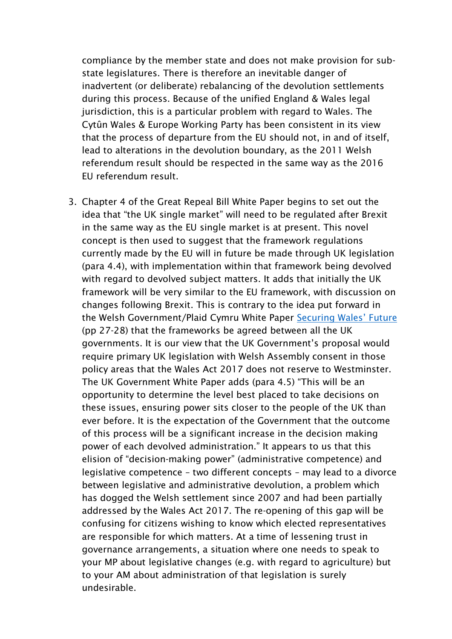compliance by the member state and does not make provision for substate legislatures. There is therefore an inevitable danger of inadvertent (or deliberate) rebalancing of the devolution settlements during this process. Because of the unified England & Wales legal jurisdiction, this is a particular problem with regard to Wales. The Cytûn Wales & Europe Working Party has been consistent in its view that the process of departure from the EU should not, in and of itself, lead to alterations in the devolution boundary, as the 2011 Welsh referendum result should be respected in the same way as the 2016 EU referendum result.

3. Chapter 4 of the Great Repeal Bill White Paper begins to set out the idea that "the UK single market" will need to be regulated after Brexit in the same way as the EU single market is at present. This novel concept is then used to suggest that the framework regulations currently made by the EU will in future be made through UK legislation (para 4.4), with implementation within that framework being devolved with regard to devolved subject matters. It adds that initially the UK framework will be very similar to the EU framework, with discussion on changes following Brexit. This is contrary to the idea put forward in the Welsh Government/Plaid Cymru White Paper [Securing Wales' Future](https://beta.gov.wales/sites/default/files/2017-01/30683%20Securing%20Wales%C2%B9%20Future_ENGLISH_WEB.pdf)  (pp 27-28) that the frameworks be agreed between all the UK governments. It is our view that the UK Government's proposal would require primary UK legislation with Welsh Assembly consent in those policy areas that the Wales Act 2017 does not reserve to Westminster. The UK Government White Paper adds (para 4.5) "This will be an opportunity to determine the level best placed to take decisions on these issues, ensuring power sits closer to the people of the UK than ever before. It is the expectation of the Government that the outcome of this process will be a significant increase in the decision making power of each devolved administration." It appears to us that this elision of "decision-making power" (administrative competence) and legislative competence – two different concepts – may lead to a divorce between legislative and administrative devolution, a problem which has dogged the Welsh settlement since 2007 and had been partially addressed by the Wales Act 2017. The re-opening of this gap will be confusing for citizens wishing to know which elected representatives are responsible for which matters. At a time of lessening trust in governance arrangements, a situation where one needs to speak to your MP about legislative changes (e.g. with regard to agriculture) but to your AM about administration of that legislation is surely undesirable.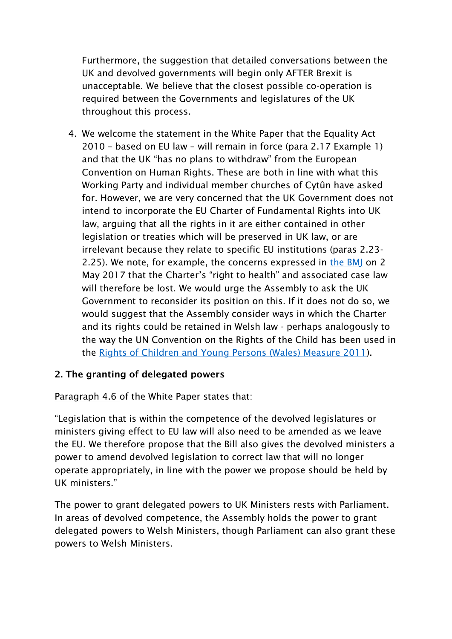Furthermore, the suggestion that detailed conversations between the UK and devolved governments will begin only AFTER Brexit is unacceptable. We believe that the closest possible co-operation is required between the Governments and legislatures of the UK throughout this process.

4. We welcome the statement in the White Paper that the Equality Act 2010 – based on EU law – will remain in force (para 2.17 Example 1) and that the UK "has no plans to withdraw" from the European Convention on Human Rights. These are both in line with what this Working Party and individual member churches of Cytûn have asked for. However, we are very concerned that the UK Government does not intend to incorporate the EU Charter of Fundamental Rights into UK law, arguing that all the rights in it are either contained in other legislation or treaties which will be preserved in UK law, or are irrelevant because they relate to specific EU institutions (paras 2.23- 2.25). We note, for example, the concerns expressed in [the BMJ](http://www.bmj.com/content/357/bmj.j2013) on 2 May 2017 that the Charter's "right to health" and associated case law will therefore be lost. We would urge the Assembly to ask the UK Government to reconsider its position on this. If it does not do so, we would suggest that the Assembly consider ways in which the Charter and its rights could be retained in Welsh law - perhaps analogously to the way the UN Convention on the Rights of the Child has been used in the [Rights of Children and Young Persons \(Wales\) Measure 2011\)](http://gov.wales/topics/people-and-communities/people/children-and-young-people/rights/uncrc/?lang=en).

### **2. The granting of delegated powers**

[Paragraph 4.6 o](https://www.gov.uk/government/publications/the-great-repeal-bill-white-paper/legislating-for-the-united-kingdoms-withdrawal-from-the-european-union#chapter-4-interaction-with-the-devolution-settlements)f the White Paper states that:

"Legislation that is within the competence of the devolved legislatures or ministers giving effect to EU law will also need to be amended as we leave the EU. We therefore propose that the Bill also gives the devolved ministers a power to amend devolved legislation to correct law that will no longer operate appropriately, in line with the power we propose should be held by UK ministers."

The power to grant delegated powers to UK Ministers rests with Parliament. In areas of devolved competence, the Assembly holds the power to grant delegated powers to Welsh Ministers, though Parliament can also grant these powers to Welsh Ministers.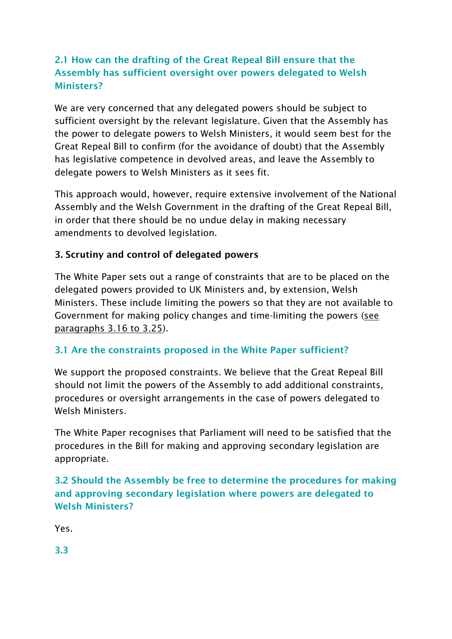# **2.1 How can the drafting of the Great Repeal Bill ensure that the Assembly has sufficient oversight over powers delegated to Welsh Ministers?**

We are very concerned that any delegated powers should be subject to sufficient oversight by the relevant legislature. Given that the Assembly has the power to delegate powers to Welsh Ministers, it would seem best for the Great Repeal Bill to confirm (for the avoidance of doubt) that the Assembly has legislative competence in devolved areas, and leave the Assembly to delegate powers to Welsh Ministers as it sees fit.

This approach would, however, require extensive involvement of the National Assembly and the Welsh Government in the drafting of the Great Repeal Bill, in order that there should be no undue delay in making necessary amendments to devolved legislation.

# **3. Scrutiny and control of delegated powers**

The White Paper sets out a range of constraints that are to be placed on the delegated powers provided to UK Ministers and, by extension, Welsh Ministers. These include limiting the powers so that they are not available to Government for making policy changes and time-limiting the powers (see paragraphs 3.16 to 3.25).

# **3.1 Are the constraints proposed in the White Paper sufficient?**

We support the proposed constraints. We believe that the Great Repeal Bill should not limit the powers of the Assembly to add additional constraints, procedures or oversight arrangements in the case of powers delegated to Welsh Ministers.

The White Paper recognises that Parliament will need to be satisfied that the procedures in the Bill for making and approving secondary legislation are appropriate.

**3.2 Should the Assembly be free to determine the procedures for making and approving secondary legislation where powers are delegated to Welsh Ministers?**

Yes.

**3.3**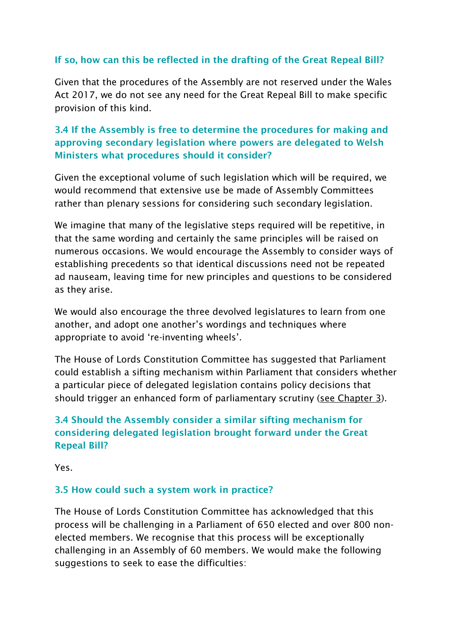# **If so, how can this be reflected in the drafting of the Great Repeal Bill?**

Given that the procedures of the Assembly are not reserved under the Wales Act 2017, we do not see any need for the Great Repeal Bill to make specific provision of this kind.

# **3.4 If the Assembly is free to determine the procedures for making and approving secondary legislation where powers are delegated to Welsh Ministers what procedures should it consider?**

Given the exceptional volume of such legislation which will be required, we would recommend that extensive use be made of Assembly Committees rather than plenary sessions for considering such secondary legislation.

We imagine that many of the legislative steps required will be repetitive, in that the same wording and certainly the same principles will be raised on numerous occasions. We would encourage the Assembly to consider ways of establishing precedents so that identical discussions need not be repeated ad nauseam, leaving time for new principles and questions to be considered as they arise.

We would also encourage the three devolved legislatures to learn from one another, and adopt one another's wordings and techniques where appropriate to avoid 're-inventing wheels'.

The House of Lords Constitution Committee has suggested that Parliament could establish a sifting mechanism within Parliament that considers whether a particular piece of delegated legislation contains policy decisions that should trigger an enhanced form of parliamentary scrutiny [\(see Chapter 3\)](https://www.publications.parliament.uk/pa/ld201617/ldselect/ldconst/123/12306.htm).

# **3.4 Should the Assembly consider a similar sifting mechanism for considering delegated legislation brought forward under the Great Repeal Bill?**

Yes.

### **3.5 How could such a system work in practice?**

The House of Lords Constitution Committee has acknowledged that this process will be challenging in a Parliament of 650 elected and over 800 nonelected members. We recognise that this process will be exceptionally challenging in an Assembly of 60 members. We would make the following suggestions to seek to ease the difficulties: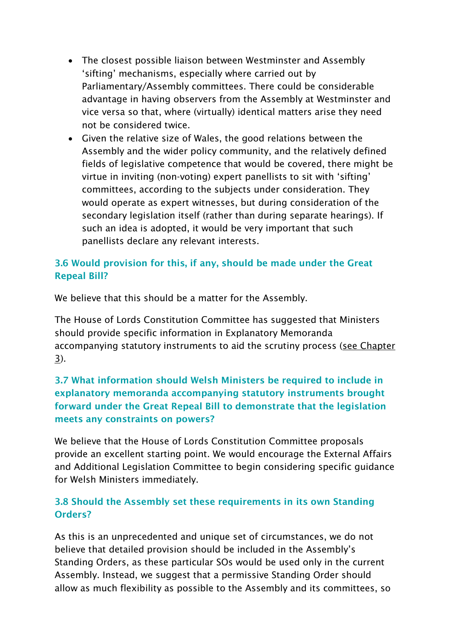- The closest possible liaison between Westminster and Assembly 'sifting' mechanisms, especially where carried out by Parliamentary/Assembly committees. There could be considerable advantage in having observers from the Assembly at Westminster and vice versa so that, where (virtually) identical matters arise they need not be considered twice.
- Given the relative size of Wales, the good relations between the Assembly and the wider policy community, and the relatively defined fields of legislative competence that would be covered, there might be virtue in inviting (non-voting) expert panellists to sit with 'sifting' committees, according to the subjects under consideration. They would operate as expert witnesses, but during consideration of the secondary legislation itself (rather than during separate hearings). If such an idea is adopted, it would be very important that such panellists declare any relevant interests.

# **3.6 Would provision for this, if any, should be made under the Great Repeal Bill?**

We believe that this should be a matter for the Assembly.

The House of Lords Constitution Committee has suggested that Ministers should provide specific information in Explanatory Memoranda accompanying statutory instruments to aid the scrutiny process [\(see Chapter](https://www.publications.parliament.uk/pa/ld201617/ldselect/ldconst/123/12306.htm)  [3\)](https://www.publications.parliament.uk/pa/ld201617/ldselect/ldconst/123/12306.htm).

# **3.7 What information should Welsh Ministers be required to include in explanatory memoranda accompanying statutory instruments brought forward under the Great Repeal Bill to demonstrate that the legislation meets any constraints on powers?**

We believe that the House of Lords Constitution Committee proposals provide an excellent starting point. We would encourage the External Affairs and Additional Legislation Committee to begin considering specific guidance for Welsh Ministers immediately.

# **3.8 Should the Assembly set these requirements in its own Standing Orders?**

As this is an unprecedented and unique set of circumstances, we do not believe that detailed provision should be included in the Assembly's Standing Orders, as these particular SOs would be used only in the current Assembly. Instead, we suggest that a permissive Standing Order should allow as much flexibility as possible to the Assembly and its committees, so